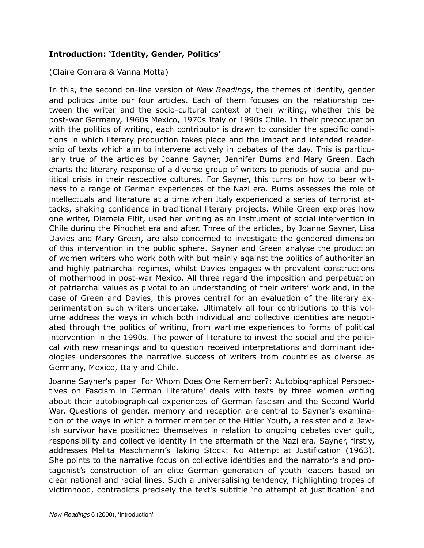## **Introduction: 'Identity, Gender, Politics'**

## (Claire Gorrara & Vanna Motta)

In this, the second on-line version of *New Readings*, the themes of identity, gender and politics unite our four articles. Each of them focuses on the relationship between the writer and the socio-cultural context of their writing, whether this be post-war Germany, 1960s Mexico, 1970s Italy or 1990s Chile. In their preoccupation with the politics of writing, each contributor is drawn to consider the specific conditions in which literary production takes place and the impact and intended readership of texts which aim to intervene actively in debates of the day. This is particularly true of the articles by Joanne Sayner, Jennifer Burns and Mary Green. Each charts the literary response of a diverse group of writers to periods of social and political crisis in their respective cultures. For Sayner, this turns on how to bear witness to a range of German experiences of the Nazi era. Burns assesses the role of intellectuals and literature at a time when Italy experienced a series of terrorist attacks, shaking confidence in traditional literary projects. While Green explores how one writer, Diamela Eltit, used her writing as an instrument of social intervention in Chile during the Pinochet era and after. Three of the articles, by Joanne Sayner, Lisa Davies and Mary Green, are also concerned to investigate the gendered dimension of this intervention in the public sphere. Sayner and Green analyse the production of women writers who work both with but mainly against the politics of authoritarian and highly patriarchal regimes, whilst Davies engages with prevalent constructions of motherhood in post-war Mexico. All three regard the imposition and perpetuation of patriarchal values as pivotal to an understanding of their writers' work and, in the case of Green and Davies, this proves central for an evaluation of the literary experimentation such writers undertake. Ultimately all four contributions to this volume address the ways in which both individual and collective identities are negotiated through the politics of writing, from wartime experiences to forms of political intervention in the 1990s. The power of literature to invest the social and the political with new meanings and to question received interpretations and dominant ideologies underscores the narrative success of writers from countries as diverse as Germany, Mexico, Italy and Chile.

Joanne Sayner's paper 'For Whom Does One Remember?: Autobiographical Perspectives on Fascism in German Literature' deals with texts by three women writing about their autobiographical experiences of German fascism and the Second World War. Questions of gender, memory and reception are central to Sayner's examination of the ways in which a former member of the Hitler Youth, a resister and a Jewish survivor have positioned themselves in relation to ongoing debates over guilt, responsibility and collective identity in the aftermath of the Nazi era. Sayner, firstly, addresses Melita Maschmann's Taking Stock: No Attempt at Justification (1963). She points to the narrative focus on collective identities and the narrator's and protagonist's construction of an elite German generation of youth leaders based on clear national and racial lines. Such a universalising tendency, highlighting tropes of victimhood, contradicts precisely the text's subtitle 'no attempt at justification' and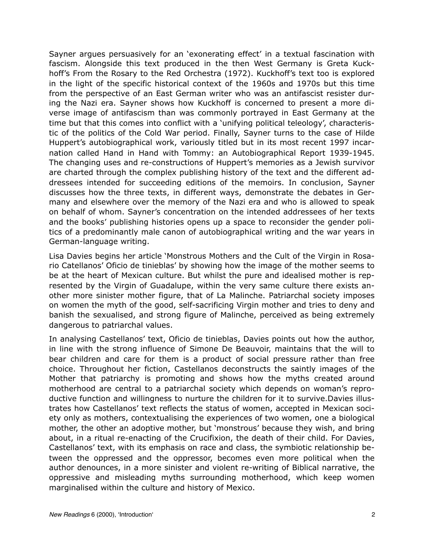Sayner argues persuasively for an 'exonerating effect' in a textual fascination with fascism. Alongside this text produced in the then West Germany is Greta Kuckhoff's From the Rosary to the Red Orchestra (1972). Kuckhoff's text too is explored in the light of the specific historical context of the 1960s and 1970s but this time from the perspective of an East German writer who was an antifascist resister during the Nazi era. Sayner shows how Kuckhoff is concerned to present a more diverse image of antifascism than was commonly portrayed in East Germany at the time but that this comes into conflict with a 'unifying political teleology', characteristic of the politics of the Cold War period. Finally, Sayner turns to the case of Hilde Huppert's autobiographical work, variously titled but in its most recent 1997 incarnation called Hand in Hand with Tommy: an Autobiographical Report 1939-1945. The changing uses and re-constructions of Huppert's memories as a Jewish survivor are charted through the complex publishing history of the text and the different addressees intended for succeeding editions of the memoirs. In conclusion, Sayner discusses how the three texts, in different ways, demonstrate the debates in Germany and elsewhere over the memory of the Nazi era and who is allowed to speak on behalf of whom. Sayner's concentration on the intended addressees of her texts and the books' publishing histories opens up a space to reconsider the gender politics of a predominantly male canon of autobiographical writing and the war years in German-language writing.

Lisa Davies begins her article 'Monstrous Mothers and the Cult of the Virgin in Rosario Catellanos' Oficio de tinieblas' by showing how the image of the mother seems to be at the heart of Mexican culture. But whilst the pure and idealised mother is represented by the Virgin of Guadalupe, within the very same culture there exists another more sinister mother figure, that of La Malinche. Patriarchal society imposes on women the myth of the good, self-sacrificing Virgin mother and tries to deny and banish the sexualised, and strong figure of Malinche, perceived as being extremely dangerous to patriarchal values.

In analysing Castellanos' text, Oficio de tinieblas, Davies points out how the author, in line with the strong influence of Simone De Beauvoir, maintains that the will to bear children and care for them is a product of social pressure rather than free choice. Throughout her fiction, Castellanos deconstructs the saintly images of the Mother that patriarchy is promoting and shows how the myths created around motherhood are central to a patriarchal society which depends on woman's reproductive function and willingness to nurture the children for it to survive.Davies illustrates how Castellanos' text reflects the status of women, accepted in Mexican society only as mothers, contextualising the experiences of two women, one a biological mother, the other an adoptive mother, but 'monstrous' because they wish, and bring about, in a ritual re-enacting of the Crucifixion, the death of their child. For Davies, Castellanos' text, with its emphasis on race and class, the symbiotic relationship between the oppressed and the oppressor, becomes even more political when the author denounces, in a more sinister and violent re-writing of Biblical narrative, the oppressive and misleading myths surrounding motherhood, which keep women marginalised within the culture and history of Mexico.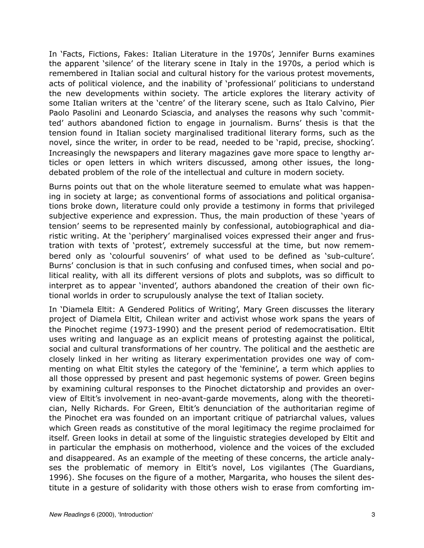In 'Facts, Fictions, Fakes: Italian Literature in the 1970s', Jennifer Burns examines the apparent 'silence' of the literary scene in Italy in the 1970s, a period which is remembered in Italian social and cultural history for the various protest movements, acts of political violence, and the inability of 'professional' politicians to understand the new developments within society. The article explores the literary activity of some Italian writers at the 'centre' of the literary scene, such as Italo Calvino, Pier Paolo Pasolini and Leonardo Sciascia, and analyses the reasons why such 'committed' authors abandoned fiction to engage in journalism. Burns' thesis is that the tension found in Italian society marginalised traditional literary forms, such as the novel, since the writer, in order to be read, needed to be 'rapid, precise, shocking'. Increasingly the newspapers and literary magazines gave more space to lengthy articles or open letters in which writers discussed, among other issues, the longdebated problem of the role of the intellectual and culture in modern society.

Burns points out that on the whole literature seemed to emulate what was happening in society at large; as conventional forms of associations and political organisations broke down, literature could only provide a testimony in forms that privileged subjective experience and expression. Thus, the main production of these 'years of tension' seems to be represented mainly by confessional, autobiographical and diaristic writing. At the 'periphery' marginalised voices expressed their anger and frustration with texts of 'protest', extremely successful at the time, but now remembered only as 'colourful souvenirs' of what used to be defined as 'sub-culture'. Burns' conclusion is that in such confusing and confused times, when social and political reality, with all its different versions of plots and subplots, was so difficult to interpret as to appear 'invented', authors abandoned the creation of their own fictional worlds in order to scrupulously analyse the text of Italian society.

In 'Diamela Eltit: A Gendered Politics of Writing', Mary Green discusses the literary project of Diamela Eltit, Chilean writer and activist whose work spans the years of the Pinochet regime (1973-1990) and the present period of redemocratisation. Eltit uses writing and language as an explicit means of protesting against the political, social and cultural transformations of her country. The political and the aesthetic are closely linked in her writing as literary experimentation provides one way of commenting on what Eltit styles the category of the 'feminine', a term which applies to all those oppressed by present and past hegemonic systems of power. Green begins by examining cultural responses to the Pinochet dictatorship and provides an overview of Eltit's involvement in neo-avant-garde movements, along with the theoretician, Nelly Richards. For Green, Eltit's denunciation of the authoritarian regime of the Pinochet era was founded on an important critique of patriarchal values, values which Green reads as constitutive of the moral legitimacy the regime proclaimed for itself. Green looks in detail at some of the linguistic strategies developed by Eltit and in particular the emphasis on motherhood, violence and the voices of the excluded and disappeared. As an example of the meeting of these concerns, the article analyses the problematic of memory in Eltit's novel, Los vigilantes (The Guardians, 1996). She focuses on the figure of a mother, Margarita, who houses the silent destitute in a gesture of solidarity with those others wish to erase from comforting im